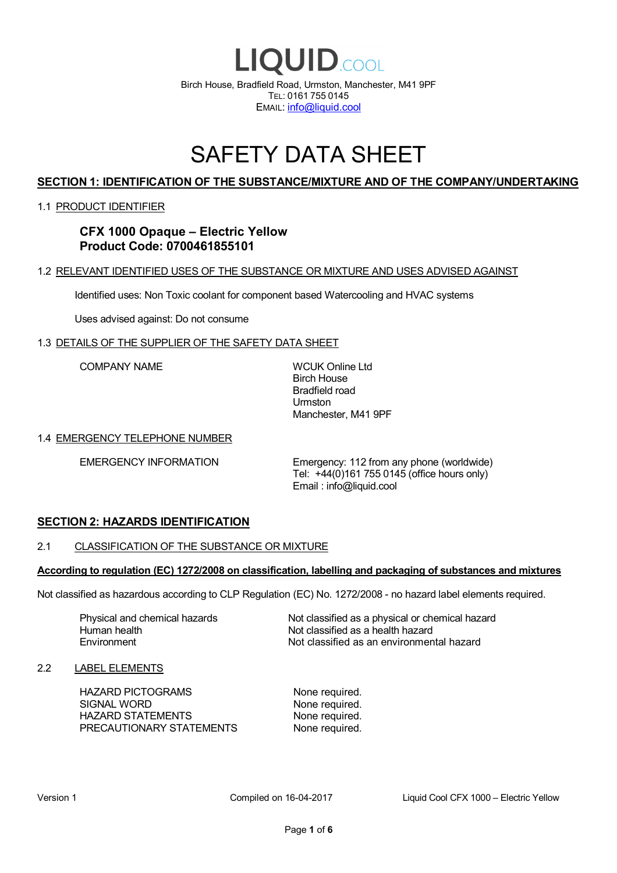

## SAFETY DATA SHEET

## **SECTION 1: IDENTIFICATION OF THE SUBSTANCE/MIXTURE AND OF THE COMPANY/UNDERTAKING**

#### 1.1 PRODUCT IDENTIFIER

**CFX 1000 Opaque – Electric Yellow Product Code: 0700461855101**

#### 1.2 RELEVANT IDENTIFIED USES OF THE SUBSTANCE OR MIXTURE AND USES ADVISED AGAINST

Identified uses: Non Toxic coolant for component based Watercooling and HVAC systems

Uses advised against: Do not consume

#### 1.3 DETAILS OF THE SUPPLIER OF THE SAFETY DATA SHEET

COMPANY NAME WCUK Online Ltd

Birch House Bradfield road Urmston Manchester, M41 9PF

#### 1.4 EMERGENCY TELEPHONE NUMBER

EMERGENCY INFORMATION Emergency: 112 from any phone (worldwide) Tel: +44(0)161 755 0145 (office hours only) Email : info@liquid.cool

## **SECTION 2: HAZARDS IDENTIFICATION**

#### 2.1 CLASSIFICATION OF THE SUBSTANCE OR MIXTURE

#### **According to regulation (EC) 1272/2008 on classification, labelling and packaging of substances and mixtures**

Not classified as hazardous according to CLP Regulation (EC) No. 1272/2008 - no hazard label elements required.

Human health **Environment** 

Physical and chemical hazards Not classified as a physical or chemical hazard Not classified as a health hazard Not classified as an environmental hazard

#### 2.2 LABEL ELEMENTS

HAZARD PICTOGRAMS None required. SIGNAL WORD None required. HAZARD STATEMENTS None required. PRECAUTIONARY STATEMENTS None required.

Version 1 Compiled on 16-04-2017 Liquid Cool CFX 1000 – Electric Yellow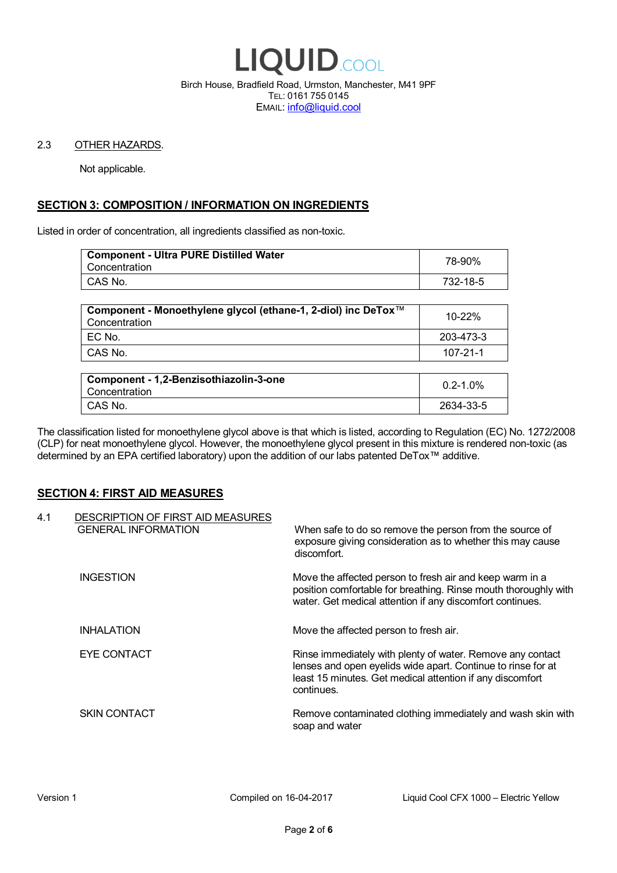

Birch House, Bradfield Road, Urmston, Manchester, M41 9PF TEL: 0161 755 0145 EMAIL: info@liquid.cool

#### 2.3 OTHER HAZARDS.

Not applicable.

## **SECTION 3: COMPOSITION / INFORMATION ON INGREDIENTS**

Listed in order of concentration, all ingredients classified as non-toxic.

| <b>Component - Ultra PURE Distilled Water</b><br>Concentration | 78-90%   |
|----------------------------------------------------------------|----------|
| CAS No.                                                        | 732-18-5 |
|                                                                |          |

| Component - Monoethylene glycol (ethane-1, 2-diol) inc DeTox™<br>Concentration | 10-22%    |
|--------------------------------------------------------------------------------|-----------|
| EC No.                                                                         | 203-473-3 |
| CAS No.                                                                        | 107-21-1  |

| Component - 1,2-Benzisothiazolin-3-one<br>Concentration | $0.2 - 1.0\%$ |
|---------------------------------------------------------|---------------|
| CAS No.                                                 | 2634-33-5     |

The classification listed for monoethylene glycol above is that which is listed, according to Regulation (EC) No. 1272/2008 (CLP) for neat monoethylene glycol. However, the monoethylene glycol present in this mixture is rendered non-toxic (as determined by an EPA certified laboratory) upon the addition of our labs patented DeTox™ additive.

## **SECTION 4: FIRST AID MEASURES**

| 4.1 | DESCRIPTION OF FIRST AID MEASURES<br><b>GENERAL INFORMATION</b> | When safe to do so remove the person from the source of<br>exposure giving consideration as to whether this may cause<br>discomfort.                                                                  |
|-----|-----------------------------------------------------------------|-------------------------------------------------------------------------------------------------------------------------------------------------------------------------------------------------------|
|     | <b>INGESTION</b>                                                | Move the affected person to fresh air and keep warm in a<br>position comfortable for breathing. Rinse mouth thoroughly with<br>water. Get medical attention if any discomfort continues.              |
|     | <b>INHALATION</b>                                               | Move the affected person to fresh air.                                                                                                                                                                |
|     | EYE CONTACT                                                     | Rinse immediately with plenty of water. Remove any contact<br>lenses and open eyelids wide apart. Continue to rinse for at<br>least 15 minutes. Get medical attention if any discomfort<br>continues. |
|     | <b>SKIN CONTACT</b>                                             | Remove contaminated clothing immediately and wash skin with<br>soap and water                                                                                                                         |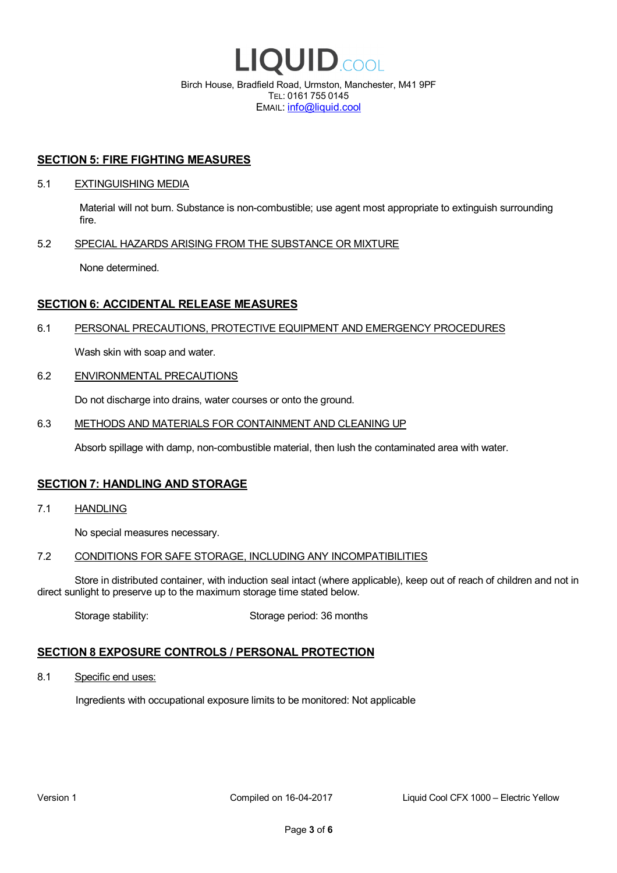

EMAIL: info@liquid.cool

## **SECTION 5: FIRE FIGHTING MEASURES**

#### 5.1 EXTINGUISHING MEDIA

Material will not burn. Substance is non-combustible; use agent most appropriate to extinguish surrounding fire.

## 5.2 SPECIAL HAZARDS ARISING FROM THE SUBSTANCE OR MIXTURE

None determined.

## **SECTION 6: ACCIDENTAL RELEASE MEASURES**

#### 6.1 PERSONAL PRECAUTIONS, PROTECTIVE EQUIPMENT AND EMERGENCY PROCEDURES

Wash skin with soap and water.

#### 6.2 ENVIRONMENTAL PRECAUTIONS

Do not discharge into drains, water courses or onto the ground.

#### 6.3 METHODS AND MATERIALS FOR CONTAINMENT AND CLEANING UP

Absorb spillage with damp, non-combustible material, then lush the contaminated area with water.

## **SECTION 7: HANDLING AND STORAGE**

7.1 HANDLING

No special measures necessary.

#### 7.2 CONDITIONS FOR SAFE STORAGE, INCLUDING ANY INCOMPATIBILITIES

Store in distributed container, with induction seal intact (where applicable), keep out of reach of children and not in direct sunlight to preserve up to the maximum storage time stated below.

Storage stability: Storage period: 36 months

## **SECTION 8 EXPOSURE CONTROLS / PERSONAL PROTECTION**

8.1 Specific end uses:

Ingredients with occupational exposure limits to be monitored: Not applicable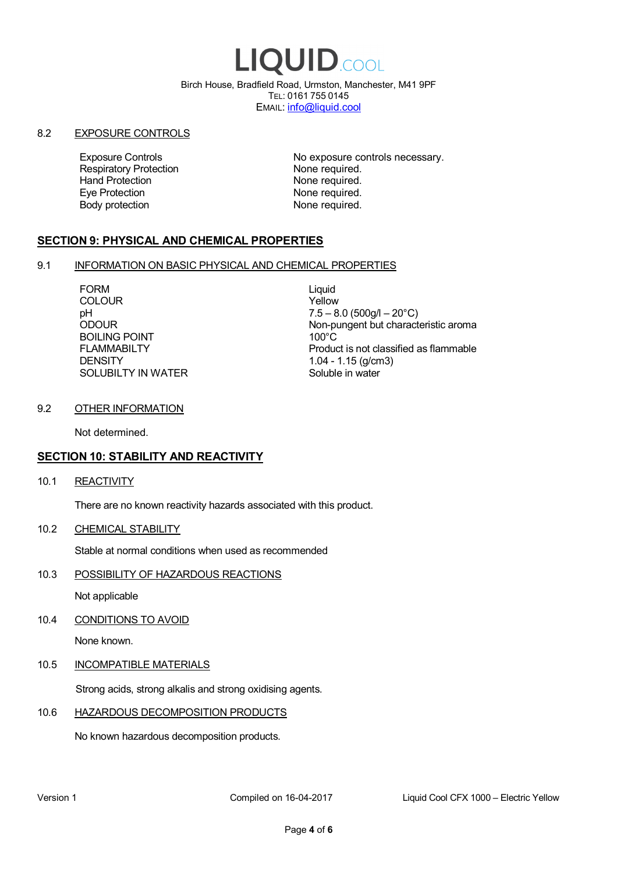# LIQUID.COOL

Birch House, Bradfield Road, Urmston, Manchester, M41 9PF TEL: 0161 755 0145 EMAIL: info@liquid.cool

#### 8.2 EXPOSURE CONTROLS

Respiratory Protection **None required.**<br>
Hand Protection **None required.** Eye Protection **None required.** Body protection None required.

Exposure Controls **Exposure Controls** No exposure controls necessary. None required.

## **SECTION 9: PHYSICAL AND CHEMICAL PROPERTIES**

## 9.1 INFORMATION ON BASIC PHYSICAL AND CHEMICAL PROPERTIES

FORM Liquid COLOUR Yellow BOILING POINT FLAMMABILTY **DENSITY** SOLUBILTY IN WATER

pH<br>
DDOUR
20°C)
2000UR
2000UR
2000UR
2000UR Non-pungent but characteristic aroma 100°C Product is not classified as flammable 1.04 - 1.15 (g/cm3) Soluble in water

## 9.2 OTHER INFORMATION

Not determined.

## **SECTION 10: STABILITY AND REACTIVITY**

10.1 REACTIVITY

There are no known reactivity hazards associated with this product.

10.2 CHEMICAL STABILITY

Stable at normal conditions when used as recommended

10.3 POSSIBILITY OF HAZARDOUS REACTIONS

Not applicable

10.4 CONDITIONS TO AVOID

None known.

## 10.5 INCOMPATIBLE MATERIALS

Strong acids, strong alkalis and strong oxidising agents.

## 10.6 HAZARDOUS DECOMPOSITION PRODUCTS

No known hazardous decomposition products.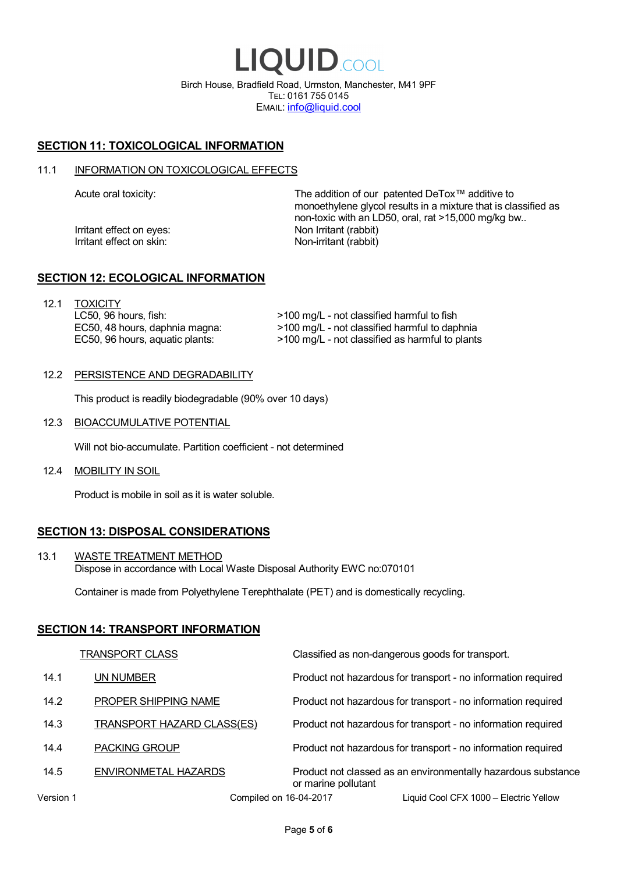LIQUID.COOL Birch House, Bradfield Road, Urmston, Manchester, M41 9PF TEL: 0161 755 0145 EMAIL: info@liquid.cool

## **SECTION 11: TOXICOLOGICAL INFORMATION**

#### 11.1 INFORMATION ON TOXICOLOGICAL EFFECTS

Irritant effect on eves: Non Irritant (rabbit) Irritant effect on skin: Non-irritant (rabbit)

Acute oral toxicity: The addition of our patented DeTox™ additive to monoethylene glycol results in a mixture that is classified as non-toxic with an LD50, oral, rat >15,000 mg/kg bw..

## **SECTION 12: ECOLOGICAL INFORMATION**

12.1 TOXICITY LC50, 96 hours, fish: EC50, 48 hours, daphnia magna: EC50, 96 hours, aquatic plants:

>100 mg/L - not classified harmful to fish >100 mg/L - not classified harmful to daphnia >100 mg/L - not classified as harmful to plants

## 12.2 PERSISTENCE AND DEGRADABILITY

This product is readily biodegradable (90% over 10 days)

12.3 BIOACCUMULATIVE POTENTIAL

Will not bio-accumulate. Partition coefficient - not determined

12.4 MOBILITY IN SOIL

Product is mobile in soil as it is water soluble.

## **SECTION 13: DISPOSAL CONSIDERATIONS**

13.1 WASTE TREATMENT METHOD Dispose in accordance with Local Waste Disposal Authority EWC no:070101

Container is made from Polyethylene Terephthalate (PET) and is domestically recycling.

#### **SECTION 14: TRANSPORT INFORMATION**

|           | <b>TRANSPORT CLASS</b>            | Classified as non-dangerous goods for transport.                                     |
|-----------|-----------------------------------|--------------------------------------------------------------------------------------|
| 14.1      | UN NUMBER                         | Product not hazardous for transport - no information required                        |
| 14.2      | PROPER SHIPPING NAME              | Product not hazardous for transport - no information required                        |
| 14.3      | <b>TRANSPORT HAZARD CLASS(ES)</b> | Product not hazardous for transport - no information required                        |
| 14.4      | <b>PACKING GROUP</b>              | Product not hazardous for transport - no information required                        |
| 14.5      | ENVIRONMETAL HAZARDS              | Product not classed as an environmentally hazardous substance<br>or marine pollutant |
| Version 1 | Compiled on 16-04-2017            | Liquid Cool CFX 1000 - Electric Yellow                                               |